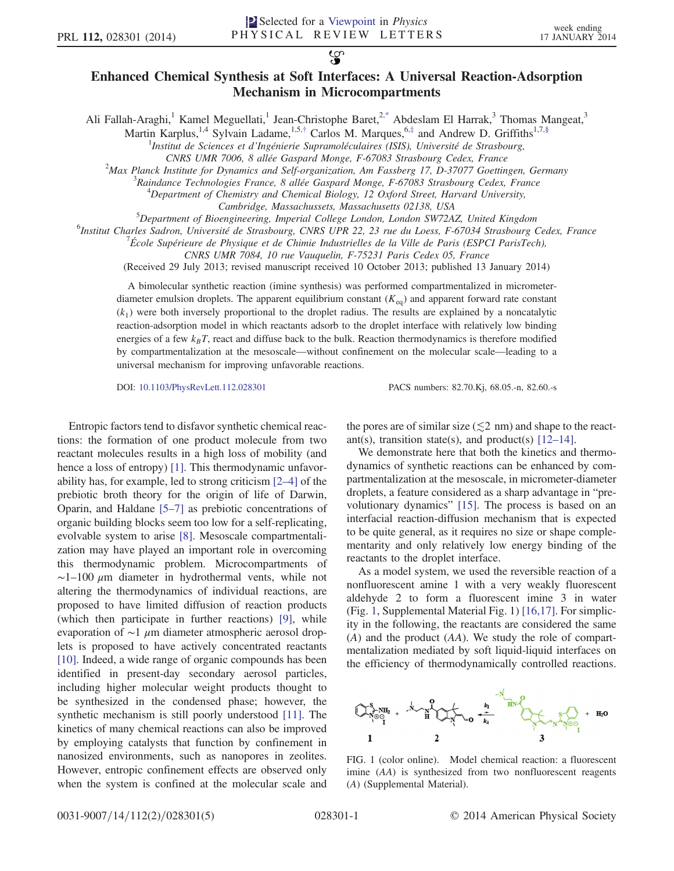$\mathbf{S}$ 

## Enhanced Chemical Synthesis at Soft Interfaces: A Universal Reaction-Adsorption Mechanism in Microcompartments

<span id="page-0-2"></span><span id="page-0-1"></span>Ali Fallah-Araghi,<sup>1</sup> Kamel Meguellati,<sup>1</sup> Jean-Christophe Baret,<sup>[2,\\*](#page-4-0)</sup> Abdeslam El Harrak,<sup>3</sup> Thomas Mangeat,<sup>3</sup>

Martin Karplus,<sup>1,4</sup> Sylvain Ladame,<sup>1,5,[†](#page-4-1)</sup> Carlos M. Marques,<sup>6,[‡](#page-4-2)</sup> and Andrew D. Griffiths<sup>1,7[,§](#page-4-3)</sup>

<sup>1</sup>Institut de Sciences et d'Ingénierie Supramoléculaires (ISIS), Université de Strasbourg,

CNRS UMR 7006, 8 allée Gaspard Monge, F-67083 Strasbourg Cedex, France <sup>2</sup>

 $^{2}$ Max Planck Institute for Dynamics and Self-organization, Am Fassberg 17, D-37077 Goettingen, Germany

 ${}^{3}$ Raindance Technologies France, 8 allée Gaspard Monge, F-67083 Strasbourg Cedex, France

 $^{4}$ Department of Chemistry and Chemical Biology, 12 Oxford Street, Harvard University,

Cambridge, Massachussets, Massachusetts 02138, USA

 ${}^{5}$ Department of Bioengineering, Imperial College London, London SW72AZ, United Kingdom

<sup>6</sup>Institut Charles Sadron, Université de Strasbourg, CNRS UPR 22, 23 rue du Loess, F-67034 Strasbourg Cedex, France

École Supérieure de Physique et de Chimie Industrielles de la Ville de Paris (ESPCI ParisTech),

CNRS UMR 7084, 10 rue Vauquelin, F-75231 Paris Cedex 05, France

(Received 29 July 2013; revised manuscript received 10 October 2013; published 13 January 2014)

A bimolecular synthetic reaction (imine synthesis) was performed compartmentalized in micrometerdiameter emulsion droplets. The apparent equilibrium constant  $(K_{eq})$  and apparent forward rate constant  $(k_1)$  were both inversely proportional to the droplet radius. The results are explained by a noncatalytic reaction-adsorption model in which reactants adsorb to the droplet interface with relatively low binding energies of a few  $k_B T$ , react and diffuse back to the bulk. Reaction thermodynamics is therefore modified by compartmentalization at the mesoscale—without confinement on the molecular scale—leading to a universal mechanism for improving unfavorable reactions.

DOI: [10.1103/PhysRevLett.112.028301](http://dx.doi.org/10.1103/PhysRevLett.112.028301) PACS numbers: 82.70.Kj, 68.05.-n, 82.60.-s

Entropic factors tend to disfavor synthetic chemical reactions: the formation of one product molecule from two reactant molecules results in a high loss of mobility (and hence a loss of entropy) [\[1\].](#page-4-4) This thermodynamic unfavorability has, for example, led to strong criticism [2–[4\]](#page-4-5) of the prebiotic broth theory for the origin of life of Darwin, Oparin, and Haldane [5–[7\]](#page-4-6) as prebiotic concentrations of organic building blocks seem too low for a self-replicating, evolvable system to arise [\[8\].](#page-4-7) Mesoscale compartmentalization may have played an important role in overcoming this thermodynamic problem. Microcompartments of  $\sim$ 1–100  $\mu$ m diameter in hydrothermal vents, while not altering the thermodynamics of individual reactions, are proposed to have limited diffusion of reaction products (which then participate in further reactions) [\[9\],](#page-4-8) while evaporation of ∼1 μm diameter atmospheric aerosol droplets is proposed to have actively concentrated reactants [\[10\]](#page-4-9). Indeed, a wide range of organic compounds has been identified in present-day secondary aerosol particles, including higher molecular weight products thought to be synthesized in the condensed phase; however, the synthetic mechanism is still poorly understood [\[11\]](#page-4-10). The kinetics of many chemical reactions can also be improved by employing catalysts that function by confinement in nanosized environments, such as nanopores in zeolites. However, entropic confinement effects are observed only when the system is confined at the molecular scale and

the pores are of similar size ( $\leq 2$  nm) and shape to the reactant(s), transition state(s), and product(s)  $[12-14]$  $[12-14]$ .

We demonstrate here that both the kinetics and thermodynamics of synthetic reactions can be enhanced by compartmentalization at the mesoscale, in micrometer-diameter droplets, a feature considered as a sharp advantage in "prevolutionary dynamics" [\[15\]](#page-4-12). The process is based on an interfacial reaction-diffusion mechanism that is expected to be quite general, as it requires no size or shape complementarity and only relatively low energy binding of the reactants to the droplet interface.

As a model system, we used the reversible reaction of a nonfluorescent amine 1 with a very weakly fluorescent aldehyde 2 to form a fluorescent imine 3 in water (Fig. [1,](#page-0-0) Supplemental Material Fig. 1) [\[16,17\].](#page-4-13) For simplicity in the following, the reactants are considered the same (A) and the product (AA). We study the role of compartmentalization mediated by soft liquid-liquid interfaces on the efficiency of thermodynamically controlled reactions.

<span id="page-0-0"></span>

FIG. 1 (color online). Model chemical reaction: a fluorescent imine (AA) is synthesized from two nonfluorescent reagents (A) (Supplemental Material).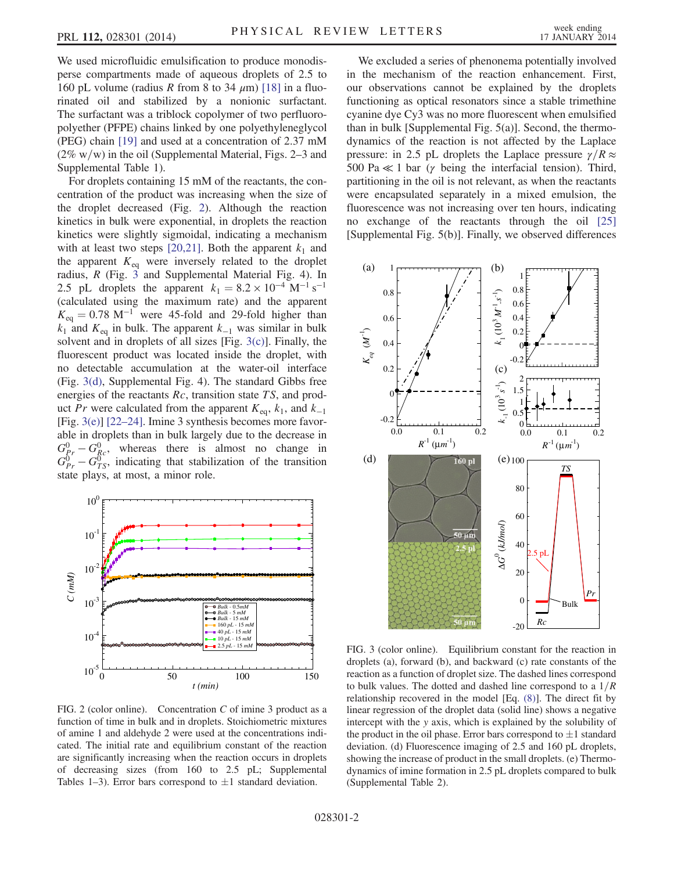We used microfluidic emulsification to produce monodisperse compartments made of aqueous droplets of 2.5 to 160 pL volume (radius R from 8 to 34  $\mu$ m) [\[18\]](#page-4-14) in a fluorinated oil and stabilized by a nonionic surfactant. The surfactant was a triblock copolymer of two perfluoropolyether (PFPE) chains linked by one polyethyleneglycol (PEG) chain [\[19\]](#page-4-15) and used at a concentration of 2.37 mM  $(2\% \text{ w/w})$  in the oil (Supplemental Material, Figs. 2–3 and Supplemental Table 1).

For droplets containing 15 mM of the reactants, the concentration of the product was increasing when the size of the droplet decreased (Fig. [2](#page-1-0)). Although the reaction kinetics in bulk were exponential, in droplets the reaction kinetics were slightly sigmoidal, indicating a mechanism with at least two steps [\[20,21\]](#page-4-16). Both the apparent  $k_1$  and the apparent  $K_{eq}$  were inversely related to the droplet radius, R (Fig. [3](#page-1-1) and Supplemental Material Fig. 4). In 2.5 pL droplets the apparent  $k_1 = 8.2 \times 10^{-4} \text{ M}^{-1} \text{ s}^{-1}$ (calculated using the maximum rate) and the apparent  $K_{\text{eq}} = 0.78 \text{ M}^{-1}$  were 45-fold and 29-fold higher than  $k_1$  and  $K_{eq}$  in bulk. The apparent  $k_{-1}$  was similar in bulk solvent and in droplets of all sizes [Fig. [3\(c\)](#page-1-1)]. Finally, the fluorescent product was located inside the droplet, with no detectable accumulation at the water-oil interface (Fig. [3\(d\),](#page-1-1) Supplemental Fig. 4). The standard Gibbs free energies of the reactants  $Rc$ , transition state  $TS$ , and product Pr were calculated from the apparent  $K_{eq}$ ,  $k_1$ , and  $k_{-1}$ [Fig. [3\(e\)\]](#page-1-1) [22–[24\].](#page-4-17) Imine 3 synthesis becomes more favorable in droplets than in bulk largely due to the decrease in  $G_{R}^{0} - G_{Rc}^{0}$ , whereas there is almost no change in  $G_{Pr}^{0} - G_{TS}^{0}$ , indicating that stabilization of the transition state plays, at most, a minor role.

<span id="page-1-0"></span>

FIG. 2 (color online). Concentration  $C$  of imine 3 product as a function of time in bulk and in droplets. Stoichiometric mixtures of amine 1 and aldehyde 2 were used at the concentrations indicated. The initial rate and equilibrium constant of the reaction are significantly increasing when the reaction occurs in droplets of decreasing sizes (from 160 to 2.5 pL; Supplemental Tables 1–3). Error bars correspond to  $\pm 1$  standard deviation.

We excluded a series of phenonema potentially involved in the mechanism of the reaction enhancement. First, our observations cannot be explained by the droplets functioning as optical resonators since a stable trimethine cyanine dye Cy3 was no more fluorescent when emulsified than in bulk [Supplemental Fig. 5(a)]. Second, the thermodynamics of the reaction is not affected by the Laplace pressure: in 2.5 pL droplets the Laplace pressure  $\gamma/R \approx$ 500 Pa  $\ll$  1 bar ( $\gamma$  being the interfacial tension). Third, partitioning in the oil is not relevant, as when the reactants were encapsulated separately in a mixed emulsion, the fluorescence was not increasing over ten hours, indicating no exchange of the reactants through the oil [\[25\]](#page-4-18) [Supplemental Fig. 5(b)]. Finally, we observed differences

<span id="page-1-1"></span>

FIG. 3 (color online). Equilibrium constant for the reaction in droplets (a), forward (b), and backward (c) rate constants of the reaction as a function of droplet size. The dashed lines correspond to bulk values. The dotted and dashed line correspond to a  $1/R$ relationship recovered in the model [Eq. [\(8\)\]](#page-3-0). The direct fit by linear regression of the droplet data (solid line) shows a negative intercept with the y axis, which is explained by the solubility of the product in the oil phase. Error bars correspond to  $\pm 1$  standard deviation. (d) Fluorescence imaging of 2.5 and 160 pL droplets, showing the increase of product in the small droplets. (e) Thermodynamics of imine formation in 2.5 pL droplets compared to bulk (Supplemental Table 2).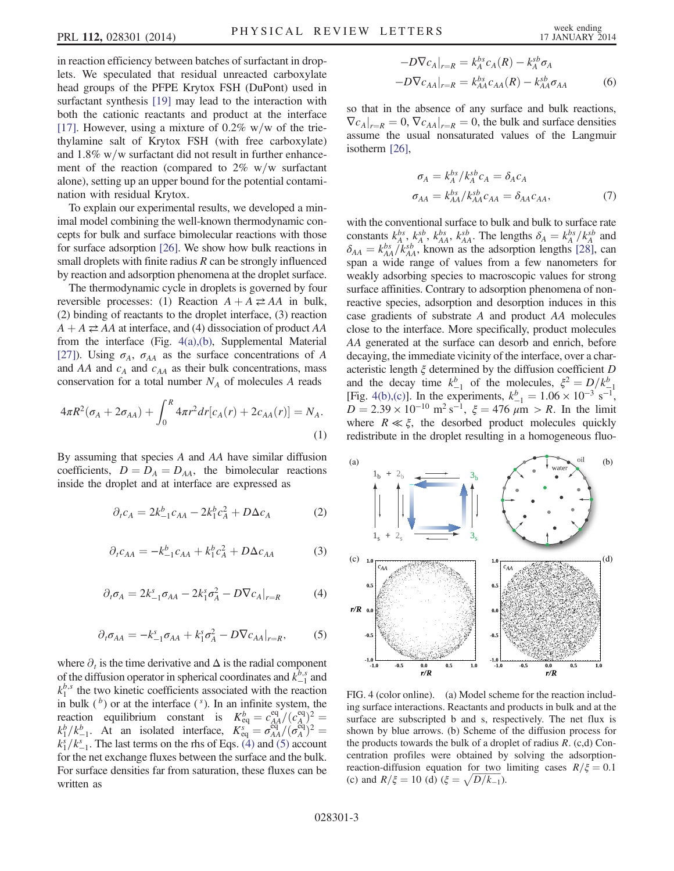in reaction efficiency between batches of surfactant in droplets. We speculated that residual unreacted carboxylate head groups of the PFPE Krytox FSH (DuPont) used in surfactant synthesis [\[19\]](#page-4-15) may lead to the interaction with both the cationic reactants and product at the interface [\[17\]](#page-4-19). However, using a mixture of  $0.2\%$  w/w of the triethylamine salt of Krytox FSH (with free carboxylate) and  $1.8\%$  w/w surfactant did not result in further enhancement of the reaction (compared to  $2\%$  w/w surfactant alone), setting up an upper bound for the potential contamination with residual Krytox.

To explain our experimental results, we developed a minimal model combining the well-known thermodynamic concepts for bulk and surface bimolecular reactions with those for surface adsorption [\[26\].](#page-4-20) We show how bulk reactions in small droplets with finite radius  $R$  can be strongly influenced by reaction and adsorption phenomena at the droplet surface.

The thermodynamic cycle in droplets is governed by four reversible processes: (1) Reaction  $A + A \rightleftarrows AA$  in bulk, (2) binding of reactants to the droplet interface, (3) reaction  $A + A \rightleftarrows AA$  at interface, and (4) dissociation of product AA from the interface (Fig. [4\(a\),\(b\),](#page-2-0) Supplemental Material [\[27\]\)](#page-4-21). Using  $\sigma_A$ ,  $\sigma_{AA}$  as the surface concentrations of A and AA and  $c_A$  and  $c_{AA}$  as their bulk concentrations, mass conservation for a total number  $N_A$  of molecules A reads

$$
4\pi R^2(\sigma_A + 2\sigma_{AA}) + \int_0^R 4\pi r^2 dr [c_A(r) + 2c_{AA}(r)] = N_A.
$$
\n(1)

By assuming that species A and AA have similar diffusion coefficients,  $D = D_A = D_{AA}$ , the bimolecular reactions inside the droplet and at interface are expressed as

$$
\partial_t c_A = 2k_{-1}^b c_{AA} - 2k_1^b c_A^2 + D\Delta c_A \tag{2}
$$

<span id="page-2-1"></span>
$$
\partial_t c_{AA} = -k_{-1}^b c_{AA} + k_1^b c_A^2 + D\Delta c_{AA} \tag{3}
$$

<span id="page-2-2"></span>
$$
\partial_t \sigma_A = 2k_{-1}^s \sigma_{AA} - 2k_1^s \sigma_A^2 - D \nabla c_A|_{r=R} \tag{4}
$$

$$
\partial_t \sigma_{AA} = -k_{-1}^s \sigma_{AA} + k_1^s \sigma_A^2 - D \nabla c_{AA}|_{r=R},\tag{5}
$$

where  $\partial_t$  is the time derivative and  $\Delta$  is the radial component of the diffusion operator in spherical coordinates and  $k_{-1}^{b,s}$  and  $k_1^{b,s}$  the two kinetic coefficients associated with the reaction in bulk  $( b )$  or at the interface  $( s )$ . In an infinite system, the reaction equilibrium constant is  $K_{eq}^b = c_{AA}^{eq}/(c_A^{eq})^2 =$ <br>  $k_f^b/k_{s-1}^b$ . At an isolated interface,  $K_{eq}^s = \frac{\sigma_{AA}^{\text{eq}}}{\sigma_{AA}^{\text{eq}}/(\sigma_A^{\text{eq}})^2} =$  $k_1^s / k_{-1}^s$ . The last terms on the rhs of Eqs. [\(4\)](#page-2-1) and [\(5\)](#page-2-2) account for the net exchange fluxes between the surface and the bulk. For surface densities far from saturation, these fluxes can be written as

$$
-D\nabla c_A|_{r=R} = k_A^{bs} c_A(R) - k_A^{sb} \sigma_A
$$

$$
-D\nabla c_{AA}|_{r=R} = k_{AA}^{bs} c_{AA}(R) - k_{AA}^{sb} \sigma_{AA}
$$
(6)

so that in the absence of any surface and bulk reactions,  $\left. \nabla c_{A} \right|_{r=R} = 0$ ,  $\left. \nabla c_{AA} \right|_{r=R} = 0$ , the bulk and surface densities assume the usual nonsaturated values of the Langmuir isotherm [\[26\],](#page-4-20)

$$
\sigma_A = k_A^{bs} / k_A^{sb} c_A = \delta_A c_A
$$
  
\n
$$
\sigma_{AA} = k_{AA}^{bs} / k_{AA}^{sb} c_{AA} = \delta_{AA} c_{AA},
$$
\n(7)

with the conventional surface to bulk and bulk to surface rate constants  $k_A^{bs}$ ,  $k_A^{sb}$ ,  $k_{AA}^{bs}$ ,  $k_{AA}^{sb}$ . The lengths  $\delta_A = k_A^{bs} / k_A^{sb}$  and  $\delta_{AA} = k_{AA}^{bs} / k_{AA}^{sb}$ , known as the adsorption lengths [\[28\],](#page-4-22) can span a wide range of values from a few nanometers for weakly adsorbing species to macroscopic values for strong surface affinities. Contrary to adsorption phenomena of nonreactive species, adsorption and desorption induces in this case gradients of substrate A and product AA molecules close to the interface. More specifically, product molecules AA generated at the surface can desorb and enrich, before decaying, the immediate vicinity of the interface, over a characteristic length  $\xi$  determined by the diffusion coefficient D and the decay time  $k_{-1}^b$  of the molecules,  $\xi^2 = D/k_{-1}^b$ <br>[Fig. [4\(b\),\(c\)\]](#page-2-0). In the experiments,  $k_{-1}^b = 1.06 \times 10^{-3}$  s<sup>-1</sup>,  $D = 2.39 \times 10^{-10} \text{ m}^2 \text{ s}^{-1}$ ,  $\xi = 476 \text{ }\mu\text{m} > R$ . In the limit where  $R \ll \xi$ , the desorbed product molecules quickly redistribute in the droplet resulting in a homogeneous fluo-

<span id="page-2-0"></span>

FIG. 4 (color online). (a) Model scheme for the reaction including surface interactions. Reactants and products in bulk and at the surface are subscripted b and s, respectively. The net flux is shown by blue arrows. (b) Scheme of the diffusion process for the products towards the bulk of a droplet of radius  $R$ . (c,d) Concentration profiles were obtained by solving the adsorptionreaction-diffusion equation for two limiting cases  $R/\xi=0.1$ (c) and  $R/\xi = 10$  (d)  $(\xi = \sqrt{D/k_{-1}})$ .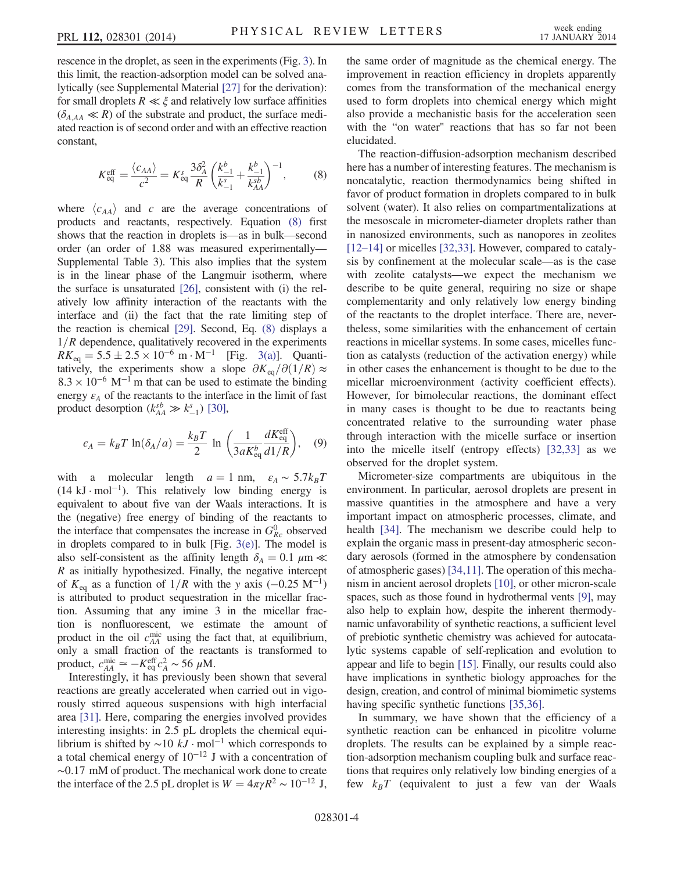rescence in the droplet, as seen in the experiments (Fig. [3\)](#page-1-1). In this limit, the reaction-adsorption model can be solved analytically (see Supplemental Material [\[27\]](#page-4-21) for the derivation): for small droplets  $R \ll \xi$  and relatively low surface affinities  $(\delta_{A,AA} \ll R)$  of the substrate and product, the surface mediated reaction is of second order and with an effective reaction constant,

<span id="page-3-0"></span>
$$
K_{\text{eq}}^{\text{eff}} = \frac{\langle c_{AA} \rangle}{c^2} = K_{\text{eq}}^s \frac{3 \delta_A^2}{R} \left( \frac{k_{-1}^b}{k_{-1}^s} + \frac{k_{-1}^b}{k_{AA}^{sb}} \right)^{-1},\tag{8}
$$

where  $\langle c_{AA} \rangle$  and c are the average concentrations of products and reactants, respectively. Equation [\(8\)](#page-3-0) first shows that the reaction in droplets is—as in bulk—second order (an order of 1.88 was measured experimentally— Supplemental Table 3). This also implies that the system is in the linear phase of the Langmuir isotherm, where the surface is unsaturated [\[26\]](#page-4-20), consistent with (i) the relatively low affinity interaction of the reactants with the interface and (ii) the fact that the rate limiting step of the reaction is chemical [\[29\]](#page-4-23). Second, Eq. [\(8\)](#page-3-0) displays a  $1/R$  dependence, qualitatively recovered in the experiments  $RK_{\text{eq}} = 5.5 \pm 2.5 \times 10^{-6} \text{ m} \cdot \text{M}^{-1}$  [Fig. [3\(a\)\]](#page-1-1). Quantitatively, the experiments show a slope  $\partial K_{eq}/\partial(1/R) \approx$  $8.3 \times 10^{-6}$  M<sup>-1</sup> m that can be used to estimate the binding energy  $\varepsilon_A$  of the reactants to the interface in the limit of fast product desorption  $(k_{AA}^{sb} \gg k_{-1}^{s})$  [\[30\]](#page-4-24),

$$
\epsilon_A = k_B T \ln(\delta_A/a) = \frac{k_B T}{2} \ln \left( \frac{1}{3a K_{\text{eq}}^b} \frac{dK_{\text{eq}}^{\text{eff}}}{d1/R} \right), \quad (9)
$$

with a molecular length  $a = 1$  nm,  $\varepsilon_A \sim 5.7k_BT$  $(14 \text{ kJ} \cdot \text{mol}^{-1})$ . This relatively low binding energy is equivalent to about five van der Waals interactions. It is the (negative) free energy of binding of the reactants to the interface that compensates the increase in  $G_{Rc}^{0}$  observed in droplets compared to in bulk [Fig. [3\(e\)\]](#page-1-1). The model is also self-consistent as the affinity length  $\delta_A = 0.1 \mu m \ll$  $R$  as initially hypothesized. Finally, the negative intercept of  $K_{eq}$  as a function of  $1/R$  with the y axis (−0.25 M<sup>-1</sup>) is attributed to product sequestration in the micellar fraction. Assuming that any imine 3 in the micellar fraction is nonfluorescent, we estimate the amount of product in the oil  $c_{AA}^{\text{mic}}$  using the fact that, at equilibrium, only a small fraction of the reactants is transformed to product,  $c_{AA}^{\text{mic}} \approx -K_{\text{eq}}^{\text{eff}} c_A^2 \sim 56 \ \mu\text{M}.$ 

Interestingly, it has previously been shown that several reactions are greatly accelerated when carried out in vigorously stirred aqueous suspensions with high interfacial area [\[31\].](#page-4-25) Here, comparing the energies involved provides interesting insights: in 2.5 pL droplets the chemical equilibrium is shifted by  $\sim$ 10 kJ · mol<sup>-1</sup> which corresponds to a total chemical energy of 10−<sup>12</sup> J with a concentration of ∼0.17 mM of product. The mechanical work done to create the interface of the 2.5 pL droplet is  $W = 4\pi \gamma R^2 \sim 10^{-12}$  J, the same order of magnitude as the chemical energy. The improvement in reaction efficiency in droplets apparently comes from the transformation of the mechanical energy used to form droplets into chemical energy which might also provide a mechanistic basis for the acceleration seen with the "on water" reactions that has so far not been elucidated.

The reaction-diffusion-adsorption mechanism described here has a number of interesting features. The mechanism is noncatalytic, reaction thermodynamics being shifted in favor of product formation in droplets compared to in bulk solvent (water). It also relies on compartmentalizations at the mesoscale in micrometer-diameter droplets rather than in nanosized environments, such as nanopores in zeolites [\[12](#page-4-11)–14] or micelles [\[32,33\].](#page-4-26) However, compared to catalysis by confinement at the molecular scale—as is the case with zeolite catalysts—we expect the mechanism we describe to be quite general, requiring no size or shape complementarity and only relatively low energy binding of the reactants to the droplet interface. There are, nevertheless, some similarities with the enhancement of certain reactions in micellar systems. In some cases, micelles function as catalysts (reduction of the activation energy) while in other cases the enhancement is thought to be due to the micellar microenvironment (activity coefficient effects). However, for bimolecular reactions, the dominant effect in many cases is thought to be due to reactants being concentrated relative to the surrounding water phase through interaction with the micelle surface or insertion into the micelle itself (entropy effects) [\[32,33\]](#page-4-26) as we observed for the droplet system.

Micrometer-size compartments are ubiquitous in the environment. In particular, aerosol droplets are present in massive quantities in the atmosphere and have a very important impact on atmospheric processes, climate, and health [\[34\].](#page-4-27) The mechanism we describe could help to explain the organic mass in present-day atmospheric secondary aerosols (formed in the atmosphere by condensation of atmospheric gases) [\[34,11\]](#page-4-27). The operation of this mechanism in ancient aerosol droplets [\[10\]](#page-4-9), or other micron-scale spaces, such as those found in hydrothermal vents [\[9\],](#page-4-8) may also help to explain how, despite the inherent thermodynamic unfavorability of synthetic reactions, a sufficient level of prebiotic synthetic chemistry was achieved for autocatalytic systems capable of self-replication and evolution to appear and life to begin [\[15\].](#page-4-12) Finally, our results could also have implications in synthetic biology approaches for the design, creation, and control of minimal biomimetic systems having specific synthetic functions [\[35,36\]](#page-4-28).

In summary, we have shown that the efficiency of a synthetic reaction can be enhanced in picolitre volume droplets. The results can be explained by a simple reaction-adsorption mechanism coupling bulk and surface reactions that requires only relatively low binding energies of a few  $k_B T$  (equivalent to just a few van der Waals